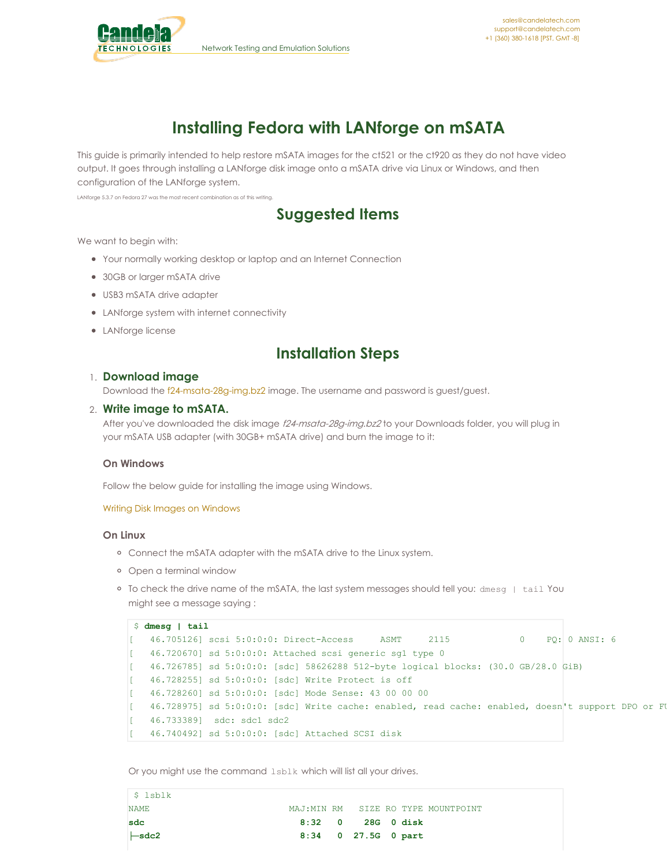

# **Installing Fedora with LANforge on mSATA**

This guide is primarily intended to help restore mSATA images for the ct521 or the ct920 as they do not have video output. It goes through installing a LANforge disk image onto a mSATA drive via Linux or Windows, and then configuration of the LANforge system.

LANforge 5.3.7 on Fedora 27 was the most recent combination as of this writing.

## **Suggested Items**

We want to begin with:

- Your normally working desktop or laptop and an Internet Connection
- 30GB or larger mSATA drive
- USB3 mSATA drive adapter
- LANforge system with internet connectivity
- LANforge license

### **Installation Steps**

#### 1. **Download image**

Download the [f24-msata-28g-img.bz2](http://candelatech.com/private/downloads/r5.3.6/f24-msata-28g-img.bz2) image. The username and password is guest/guest.

#### 2. **Write image to mSATA.**

After you've downloaded the disk image f24-msata-28q-img.bz2 to your Downloads folder, you will plug in your mSATA USB adapter (with 30GB+ mSATA drive) and burn the image to it:

#### **On Windows**

Follow the below guide for installing the image using Windows.

#### Writing Disk Images on [Windows](http://candelatech.com/cookbook.php?vol=misc&book=Writing+Disk+Images+on+Windows)

#### **On Linux**

- Connect the mSATA adapter with the mSATA drive to the Linux system.
- Open a terminal window
- To check the drive name of the mSATA, the last system messages should tell you: dmesg | tail You might see a message saying :

```
$ dmesg | tail
[ 46.705126] scsi 5:0:0:0: Direct-Access ASMT 2115 0 PQ: 0 ANSI: 6
[ 46.720670] sd 5:0:0:0: Attached scsi generic sg1 type 0
[ 46.726785] sd 5:0:0:0: [sdc] 58626288 512-byte logical blocks: (30.0 GB/28.0 GiB)
[ 46.728255] sd 5:0:0:0: [sdc] Write Protect is off
[ 46.728260] sd 5:0:0:0: [sdc] Mode Sense: 43 00 00 00
[ 46.728975] sd 5:0:0:0: [sdc] Write cache: enabled, read cache: enabled, doesn't support DPO or FU
[ 46.733389] sdc: sdc1 sdc2
[ 46.740492] sd 5:0:0:0: [sdc] Attached SCSI disk
```
Or you might use the command lsblk which will list all your drives.

| \$ lsblk          |                     |                   |  |                                    |
|-------------------|---------------------|-------------------|--|------------------------------------|
| <b>NAME</b>       |                     |                   |  | MAJ:MIN RM SIZE RO TYPE MOUNTPOINT |
| sdc               |                     | 8:32 0 28G 0 disk |  |                                    |
| $\leftarrow$ sdc2 | 8:34 0 27.5G 0 part |                   |  |                                    |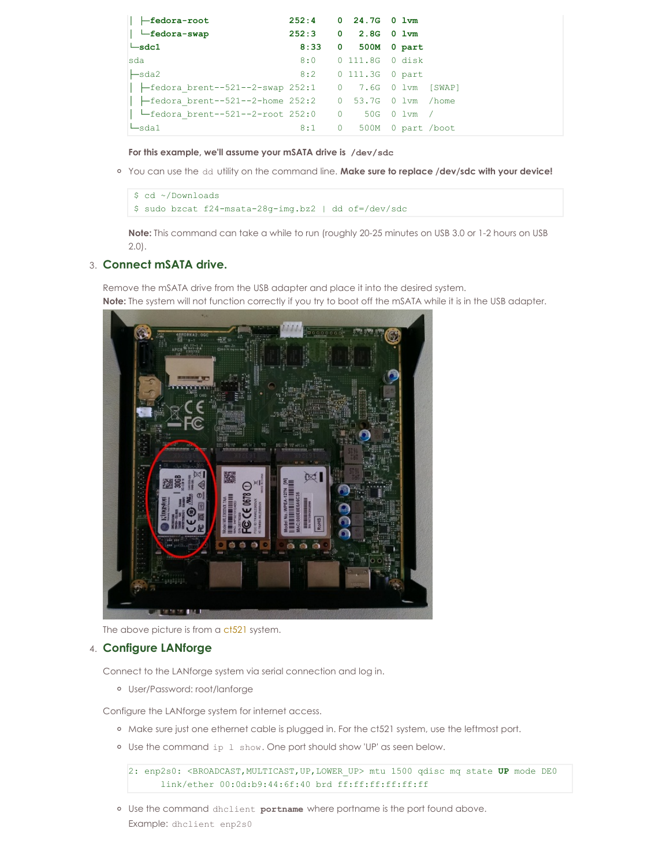| $\parallel$ $\leftarrow$ fedora-root                                     |      | 252:4 0 24.7G 0 lvm     |  |  |
|--------------------------------------------------------------------------|------|-------------------------|--|--|
| $\parallel$ $\blacksquare$ fedora-swap                                   |      | 252:3 0 2.8G 0 1vm      |  |  |
| $\mathsf{\mathsf{L}}$ sdc1                                               | 8:33 | 0 500M 0 part           |  |  |
| sda                                                                      |      | 8:0 0 111.8G 0 disk     |  |  |
| $\ensuremath{\mathsf{L}}$ sda2                                           |      | 8:2 0 111.3G 0 part     |  |  |
| $\leftarrow$ fedora brent--521--2-swap 252:1 0 7.6G 0 lvm [SWAP]         |      |                         |  |  |
|                                                                          |      |                         |  |  |
| $\parallel$ $\blacksquare$ fedora brent--521--2-root 252:0 0 50G 0 lvm / |      |                         |  |  |
| $\sqcup_{\text{sdal}}$                                                   |      | 8:1 0 500M 0 part /boot |  |  |

**For this example, we'll assume your mSATA drive is /dev/sdc**

You can use the dd utility on the command line. **Make sure to replace /dev/sdc with your device!**

```
$ cd ~/Downloads
$ sudo bzcat f24-msata-28g-img.bz2 | dd of=/dev/sdc
```
**Note:** This command can take a while to run (roughly 20-25 minutes on USB 3.0 or 1-2 hours on USB 2.0).

### 3. **Connect mSATA drive.**

Remove the mSATA drive from the USB adapter and place it into the desired system. **Note:** The system will not function correctly if you try to boot off the mSATA while it is in the USB adapter.



The above picture is from a [ct521](http://candelatech.com/ct521a-264-1ac-1n_product.php) system.

#### 4. **Configure LANforge**

Connect to the LANforge system via serial connection and log in.

User/Password: root/lanforge

Configure the LANforge system for internet access.

- o Make sure just one ethernet cable is plugged in. For the ct521 system, use the leftmost port.
- Use the command ip l show. One port should show 'UP' as seen below.

```
2: enp2s0: <BROADCAST,MULTICAST,UP,LOWER_UP> mtu 1500 qdisc mq state UP mode DE0
      link/ether 00:0d:b9:44:6f:40 brd ff:ff:ff:ff:ff:ff
```
Use the command dhclient **portname** where portname is the port found above. Example: dhclient enp2s0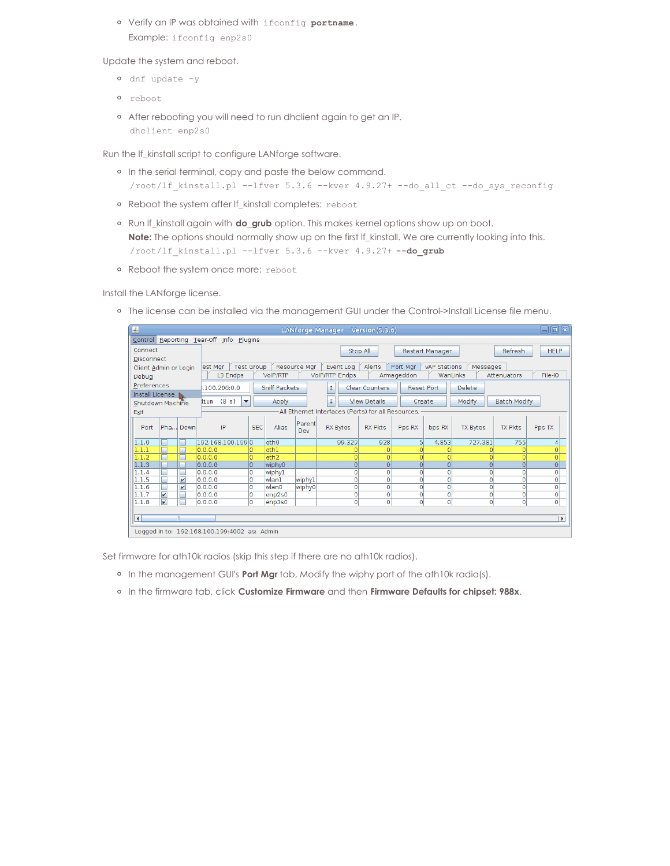Verify an IP was obtained with ifconfig **portname**. Example: ifconfig enp2s0

Update the system and reboot.

- dnf update -y
- reboot
- After rebooting you will need to run dhclient again to get an IP. dhclient enp2s0

Run the lf\_kinstall script to configure LANforge software.

- o In the serial terminal, copy and paste the below command. /root/lf\_kinstall.pl --lfver 5.3.6 --kver 4.9.27+ --do\_all\_ct --do\_sys\_reconfig
- Reboot the system after lf\_kinstall completes: reboot
- Run lf\_kinstall again with **do\_grub** option. This makes kernel options show up on boot. **Note:** The options should normally show up on the first If\_kinstall. We are currently looking into this. /root/lf\_kinstall.pl --lfver 5.3.6 --kver 4.9.27+ **--do\_grub**
- o Reboot the system once more: reboot

Install the LANforge license.

o The license can be installed via the management GUI under the Control->Install License file menu.

| 国<br>$\Box$ e $\mathbf{x}$<br>LANforge Manager Version(5.3.6)                                                                         |                                                                                                                 |                         |                                                              |                      |                  |        |                                                    |                     |                |                |                 |                |                       |
|---------------------------------------------------------------------------------------------------------------------------------------|-----------------------------------------------------------------------------------------------------------------|-------------------------|--------------------------------------------------------------|----------------------|------------------|--------|----------------------------------------------------|---------------------|----------------|----------------|-----------------|----------------|-----------------------|
| Reporting Tear-Off Info Plugins<br>Control                                                                                            |                                                                                                                 |                         |                                                              |                      |                  |        |                                                    |                     |                |                |                 |                |                       |
| Connect                                                                                                                               |                                                                                                                 |                         | <b>Refresh</b><br><b>HELP</b><br>Stop All<br>Restart Manager |                      |                  |        |                                                    |                     |                |                |                 |                |                       |
| <b>Disconnect</b>                                                                                                                     |                                                                                                                 |                         |                                                              |                      |                  |        |                                                    |                     |                |                |                 |                |                       |
| Resource Mar<br>Alerts<br><b>Test Group</b><br>Port Mar<br>vAP Stations<br>Messages<br>lest Mar<br>Event Log<br>Client Admin or Login |                                                                                                                 |                         |                                                              |                      |                  |        |                                                    |                     |                |                |                 |                |                       |
| L3 Endps<br>VoIP/RTP<br>VolP/RTP Endps<br>WanLinks<br>Armageddon<br>Attenuators<br>Debug                                              |                                                                                                                 |                         |                                                              |                      |                  |        |                                                    |                     | File-IO        |                |                 |                |                       |
|                                                                                                                                       | Preferences<br>Sniff Packets<br><b>Clear Counters</b><br><b>Delete</b><br>100.206:0.0<br><b>Reset Port</b><br>1 |                         |                                                              |                      |                  |        |                                                    |                     |                |                |                 |                |                       |
| Install License                                                                                                                       |                                                                                                                 |                         |                                                              |                      |                  |        |                                                    |                     |                |                |                 |                |                       |
| Shutdown Machine                                                                                                                      |                                                                                                                 |                         | (8 s)<br>Hium                                                | $\blacktriangledown$ | Apply            |        | τ                                                  | <b>View Details</b> | Create         |                | Modify          | Batch Modify   |                       |
| Exit                                                                                                                                  |                                                                                                                 |                         |                                                              |                      |                  |        | All Ethernet Interfaces (Ports) for all Resources. |                     |                |                |                 |                |                       |
|                                                                                                                                       |                                                                                                                 |                         |                                                              |                      |                  | Parent |                                                    |                     |                |                |                 |                |                       |
| Port                                                                                                                                  |                                                                                                                 | Pha Down                | IP                                                           | <b>SEC</b>           | Alias            | Dev    | <b>RX Bytes</b>                                    | <b>RX Pkts</b>      | Pps RX         | bps RX         | <b>TX Bytes</b> | <b>TX Pkts</b> | Pps TX                |
| 1.1.0                                                                                                                                 |                                                                                                                 | г                       | 192.168.100.1990                                             |                      | eth <sub>0</sub> |        | 99,329                                             | 928                 | $\overline{5}$ | 4,853          | 727,381         | 755            | $\vert 4 \vert$       |
| 1.1.1                                                                                                                                 | □                                                                                                               | Е                       | [0, 0, 0, 0]                                                 |                      | eth1             |        |                                                    |                     |                | $\Omega$       |                 | n              | $\overline{0}$        |
| 1.1.2                                                                                                                                 | г                                                                                                               | г                       | 0.0.0.0                                                      | lo.                  | eth <sub>2</sub> |        | $\Omega$                                           | O                   | $\Omega$       | $\Omega$       |                 | $\Omega$       | $\overline{O}$        |
| 1.1.3                                                                                                                                 |                                                                                                                 |                         | 0.0.0.0                                                      | lo                   | wiphy0           |        | $\Omega$                                           | $\Omega$            | $\Omega$       | $\Omega$       | $\Omega$        | $\Omega$       | 0                     |
| 1.1.4                                                                                                                                 |                                                                                                                 | г                       | 0.0.0.0                                                      | lo                   | wiphyl           |        | 0                                                  | O                   |                | Ō              | 0               | O              | $\overline{0}$        |
| 1.1.5                                                                                                                                 |                                                                                                                 | $\overline{\mathbf{v}}$ | 0.0.0.0                                                      | lo                   | wlan1            | wiphy1 | $\overline{0}$                                     | $\mathbf{O}$        | $\mathbf 0$    | 0              | $\mathbf{0}$    | $\Omega$       | $\overline{0}$        |
| 1.1.6                                                                                                                                 |                                                                                                                 | $\boldsymbol{\nu}$      | 0.0.0.0                                                      | lo                   | wlan0            | wiphy0 | $\overline{0}$                                     | $\overline{0}$      | $\overline{O}$ | $\overline{0}$ | $\overline{0}$  | $\Omega$       | $\overline{0}$        |
| 1.1.7                                                                                                                                 | $\overline{\mathbf{v}}$                                                                                         | г                       | 0.0.0.0                                                      | lo                   | enp2s0           |        | $\overline{0}$                                     | $\circ$             | $\circ$        | 0              | $\Omega$        | 0              | $\overline{0}$        |
| 1.1.8                                                                                                                                 | $\overline{\mathbf{v}}$                                                                                         | г                       | 0.0.0.0                                                      | lo                   | enp3s0           |        | $\overline{0}$                                     | $\overline{0}$      | $\overline{0}$ | $\overline{0}$ | $\circ$         | $\Omega$       | $\overline{0}$        |
|                                                                                                                                       |                                                                                                                 |                         |                                                              |                      |                  |        |                                                    |                     |                |                |                 |                |                       |
| $\left  \cdot \right $                                                                                                                |                                                                                                                 | Ш                       |                                                              |                      |                  |        |                                                    |                     |                |                |                 |                | $\blacktriangleright$ |
| Logged in to: 192.168.100.199:4002 as: Admin                                                                                          |                                                                                                                 |                         |                                                              |                      |                  |        |                                                    |                     |                |                |                 |                |                       |

Set firmware for ath10k radios (skip this step if there are no ath10k radios).

- <sup>o</sup> In the management GUI's **Port Mgr** tab, Modify the wiphy port of the ath10k radio(s).
- In the firmware tab, click **Customize Firmware** and then **Firmware Defaults for chipset: 988x**.